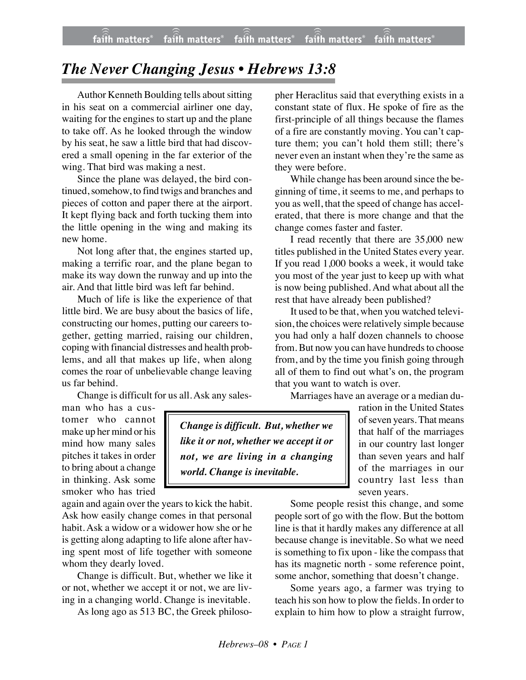## *The Never Changing Jesus • Hebrews 13:8*

Author Kenneth Boulding tells about sitting in his seat on a commercial airliner one day, waiting for the engines to start up and the plane to take off. As he looked through the window by his seat, he saw a little bird that had discovered a small opening in the far exterior of the wing. That bird was making a nest.

Since the plane was delayed, the bird continued, somehow, to find twigs and branches and pieces of cotton and paper there at the airport. It kept flying back and forth tucking them into the little opening in the wing and making its new home.

Not long after that, the engines started up, making a terrific roar, and the plane began to make its way down the runway and up into the air. And that little bird was left far behind.

Much of life is like the experience of that little bird. We are busy about the basics of life, constructing our homes, putting our careers together, getting married, raising our children, coping with financial distresses and health problems, and all that makes up life, when along comes the roar of unbelievable change leaving us far behind.

Change is difficult for us all. Ask any sales-

man who has a customer who cannot make up her mind or his mind how many sales pitches it takes in order to bring about a change in thinking. Ask some smoker who has tried

again and again over the years to kick the habit. Ask how easily change comes in that personal habit. Ask a widow or a widower how she or he is getting along adapting to life alone after having spent most of life together with someone whom they dearly loved.

Change is difficult. But, whether we like it or not, whether we accept it or not, we are living in a changing world. Change is inevitable.

As long ago as 513 BC, the Greek philoso-

pher Heraclitus said that everything exists in a constant state of flux. He spoke of fire as the first-principle of all things because the flames of a fire are constantly moving. You can't capture them; you can't hold them still; there's never even an instant when they're the same as they were before.

While change has been around since the beginning of time, it seems to me, and perhaps to you as well, that the speed of change has accelerated, that there is more change and that the change comes faster and faster.

I read recently that there are 35,000 new titles published in the United States every year. If you read 1,000 books a week, it would take you most of the year just to keep up with what is now being published. And what about all the rest that have already been published?

It used to be that, when you watched television, the choices were relatively simple because you had only a half dozen channels to choose from. But now you can have hundreds to choose from, and by the time you finish going through all of them to find out what's on, the program that you want to watch is over.

Marriages have an average or a median du-

ration in the United States of seven years. That means that half of the marriages in our country last longer than seven years and half of the marriages in our country last less than seven years.

Some people resist this change, and some people sort of go with the flow. But the bottom line is that it hardly makes any difference at all because change is inevitable. So what we need is something to fix upon - like the compass that has its magnetic north - some reference point, some anchor, something that doesn't change.

Some years ago, a farmer was trying to teach his son how to plow the fields. In order to explain to him how to plow a straight furrow,

*Change is difficult. But, whether we like it or not, whether we accept it or not, we are living in a changing world. Change is inevitable.*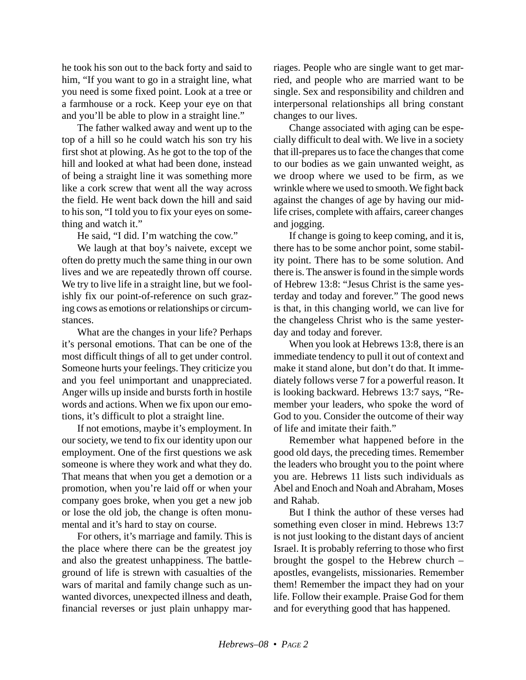he took his son out to the back forty and said to him, "If you want to go in a straight line, what you need is some fixed point. Look at a tree or a farmhouse or a rock. Keep your eye on that and you'll be able to plow in a straight line."

The father walked away and went up to the top of a hill so he could watch his son try his first shot at plowing. As he got to the top of the hill and looked at what had been done, instead of being a straight line it was something more like a cork screw that went all the way across the field. He went back down the hill and said to his son, "I told you to fix your eyes on something and watch it."

He said, "I did. I'm watching the cow."

We laugh at that boy's naivete, except we often do pretty much the same thing in our own lives and we are repeatedly thrown off course. We try to live life in a straight line, but we foolishly fix our point-of-reference on such grazing cows as emotions or relationships or circumstances.

What are the changes in your life? Perhaps it's personal emotions. That can be one of the most difficult things of all to get under control. Someone hurts your feelings. They criticize you and you feel unimportant and unappreciated. Anger wills up inside and bursts forth in hostile words and actions. When we fix upon our emotions, it's difficult to plot a straight line.

If not emotions, maybe it's employment. In our society, we tend to fix our identity upon our employment. One of the first questions we ask someone is where they work and what they do. That means that when you get a demotion or a promotion, when you're laid off or when your company goes broke, when you get a new job or lose the old job, the change is often monumental and it's hard to stay on course.

For others, it's marriage and family. This is the place where there can be the greatest joy and also the greatest unhappiness. The battleground of life is strewn with casualties of the wars of marital and family change such as unwanted divorces, unexpected illness and death, financial reverses or just plain unhappy mar-

riages. People who are single want to get married, and people who are married want to be single. Sex and responsibility and children and interpersonal relationships all bring constant changes to our lives.

Change associated with aging can be especially difficult to deal with. We live in a society that ill-prepares us to face the changes that come to our bodies as we gain unwanted weight, as we droop where we used to be firm, as we wrinkle where we used to smooth. We fight back against the changes of age by having our midlife crises, complete with affairs, career changes and jogging.

If change is going to keep coming, and it is, there has to be some anchor point, some stability point. There has to be some solution. And there is. The answer is found in the simple words of Hebrew 13:8: "Jesus Christ is the same yesterday and today and forever." The good news is that, in this changing world, we can live for the changeless Christ who is the same yesterday and today and forever.

When you look at Hebrews 13:8, there is an immediate tendency to pull it out of context and make it stand alone, but don't do that. It immediately follows verse 7 for a powerful reason. It is looking backward. Hebrews 13:7 says, "Remember your leaders, who spoke the word of God to you. Consider the outcome of their way of life and imitate their faith."

Remember what happened before in the good old days, the preceding times. Remember the leaders who brought you to the point where you are. Hebrews 11 lists such individuals as Abel and Enoch and Noah and Abraham, Moses and Rahab.

But I think the author of these verses had something even closer in mind. Hebrews 13:7 is not just looking to the distant days of ancient Israel. It is probably referring to those who first brought the gospel to the Hebrew church – apostles, evangelists, missionaries. Remember them! Remember the impact they had on your life. Follow their example. Praise God for them and for everything good that has happened.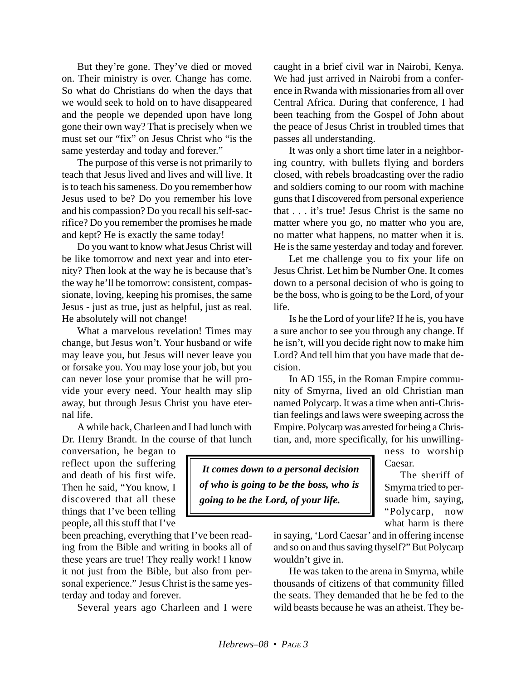But they're gone. They've died or moved on. Their ministry is over. Change has come. So what do Christians do when the days that we would seek to hold on to have disappeared and the people we depended upon have long gone their own way? That is precisely when we must set our "fix" on Jesus Christ who "is the same yesterday and today and forever."

The purpose of this verse is not primarily to teach that Jesus lived and lives and will live. It is to teach his sameness. Do you remember how Jesus used to be? Do you remember his love and his compassion? Do you recall his self-sacrifice? Do you remember the promises he made and kept? He is exactly the same today!

Do you want to know what Jesus Christ will be like tomorrow and next year and into eternity? Then look at the way he is because that's the way he'll be tomorrow: consistent, compassionate, loving, keeping his promises, the same Jesus - just as true, just as helpful, just as real. He absolutely will not change!

What a marvelous revelation! Times may change, but Jesus won't. Your husband or wife may leave you, but Jesus will never leave you or forsake you. You may lose your job, but you can never lose your promise that he will provide your every need. Your health may slip away, but through Jesus Christ you have eternal life.

A while back, Charleen and I had lunch with Dr. Henry Brandt. In the course of that lunch

conversation, he began to reflect upon the suffering and death of his first wife. Then he said, "You know, I discovered that all these things that I've been telling people, all this stuff that I've

been preaching, everything that I've been reading from the Bible and writing in books all of these years are true! They really work! I know it not just from the Bible, but also from personal experience." Jesus Christ is the same yesterday and today and forever.

Several years ago Charleen and I were

caught in a brief civil war in Nairobi, Kenya. We had just arrived in Nairobi from a conference in Rwanda with missionaries from all over Central Africa. During that conference, I had been teaching from the Gospel of John about the peace of Jesus Christ in troubled times that passes all understanding.

It was only a short time later in a neighboring country, with bullets flying and borders closed, with rebels broadcasting over the radio and soldiers coming to our room with machine guns that I discovered from personal experience that . . . it's true! Jesus Christ is the same no matter where you go, no matter who you are, no matter what happens, no matter when it is. He is the same yesterday and today and forever.

Let me challenge you to fix your life on Jesus Christ. Let him be Number One. It comes down to a personal decision of who is going to be the boss, who is going to be the Lord, of your life.

Is he the Lord of your life? If he is, you have a sure anchor to see you through any change. If he isn't, will you decide right now to make him Lord? And tell him that you have made that decision.

In AD 155, in the Roman Empire community of Smyrna, lived an old Christian man named Polycarp. It was a time when anti-Christian feelings and laws were sweeping across the Empire. Polycarp was arrested for being a Christian, and, more specifically, for his unwilling-

ness to worship Caesar.

 *It comes down to a personal decision of who is going to be the boss, who is going to be the Lord, of your life.*

The sheriff of Smyrna tried to persuade him, saying, "Polycarp, now what harm is there

in saying, 'Lord Caesar' and in offering incense and so on and thus saving thyself?" But Polycarp wouldn't give in.

He was taken to the arena in Smyrna, while thousands of citizens of that community filled the seats. They demanded that he be fed to the wild beasts because he was an atheist. They be-